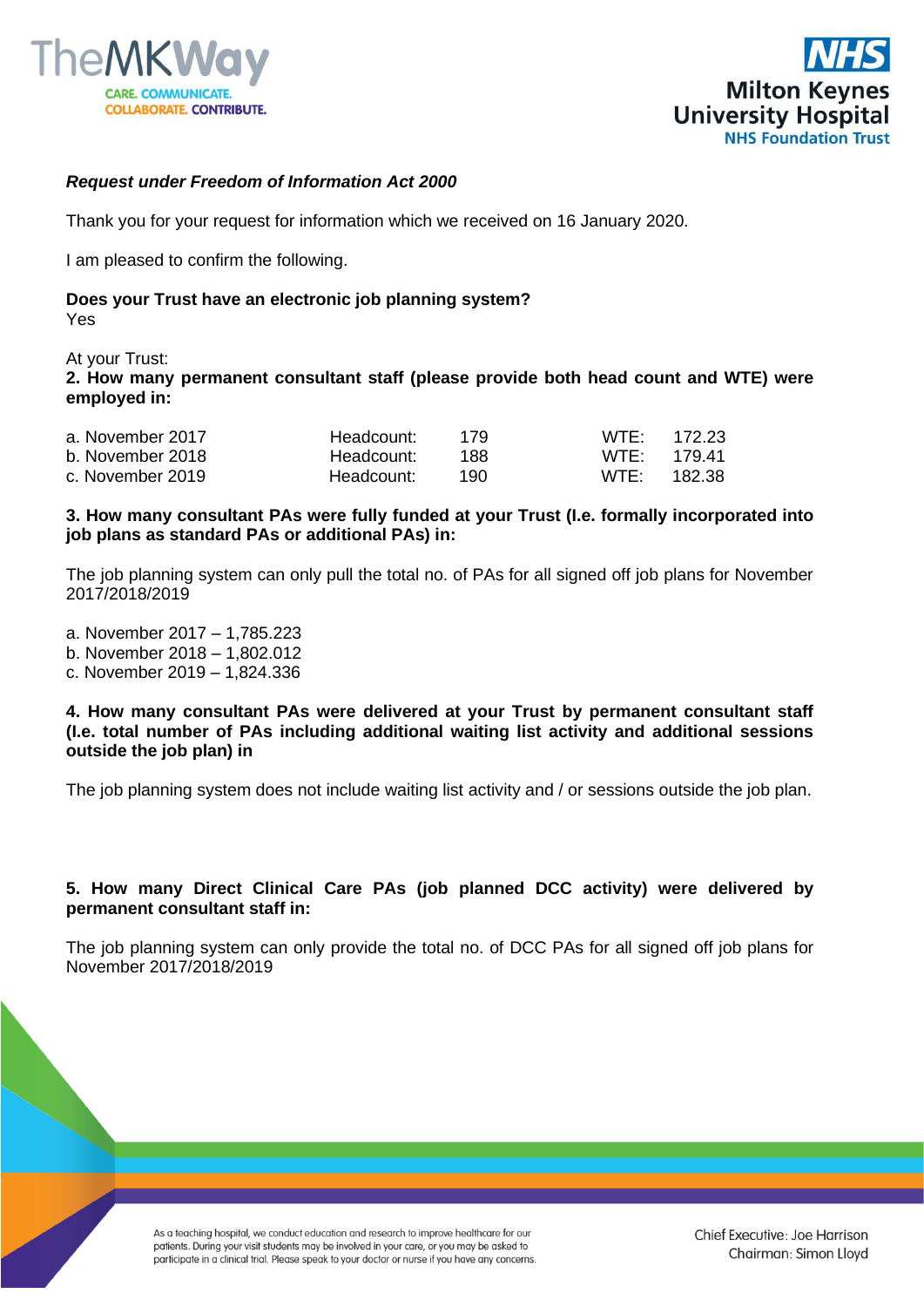



# *Request under Freedom of Information Act 2000*

Thank you for your request for information which we received on 16 January 2020.

I am pleased to confirm the following.

#### **Does your Trust have an electronic job planning system?** Yes

At your Trust:

**2. How many permanent consultant staff (please provide both head count and WTE) were employed in:**

| a. November 2017 | Headcount: 179 |       | $WTF$ 172.23     |          |
|------------------|----------------|-------|------------------|----------|
| b. November 2018 | Headcount:     | - 188 | $WTF$ 179.41     |          |
| c. November 2019 | Headcount:     | 190   | WTF <sup>.</sup> | - 182.38 |

**3. How many consultant PAs were fully funded at your Trust (I.e. formally incorporated into job plans as standard PAs or additional PAs) in:**

The job planning system can only pull the total no. of PAs for all signed off job plans for November 2017/2018/2019

a. November 2017 – 1,785.223 b. November 2018 – 1,802.012 c. November 2019 – 1,824.336

#### **4. How many consultant PAs were delivered at your Trust by permanent consultant staff (I.e. total number of PAs including additional waiting list activity and additional sessions outside the job plan) in**

The job planning system does not include waiting list activity and / or sessions outside the job plan.

# **5. How many Direct Clinical Care PAs (job planned DCC activity) were delivered by permanent consultant staff in:**

The job planning system can only provide the total no. of DCC PAs for all signed off job plans for November 2017/2018/2019

> As a teaching hospital, we conduct education and research to improve healthcare for our patients. During your visit students may be involved in your care, or you may be asked to participate in a clinical trial. Please speak to your doctor or nurse if you have any concerns.